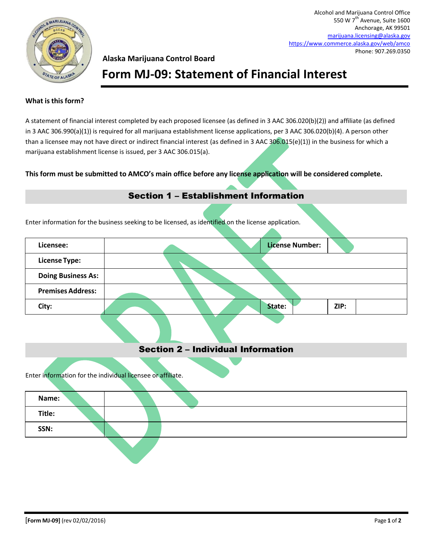

Alcohol and Marijuana Control Office 550 W 7<sup>th</sup> Avenue, Suite 1600 Anchorage, AK 99501 [marijuana.licensing@alaska.gov](mailto:marijuana.licensing@alaska.gov) <https://www.commerce.alaska.gov/web/amco> Phone: 907.269.0350

### **Alaska Marijuana Control Board**

## **Form MJ-09: Statement of Financial Interest**

### **What is this form?**

A statement of financial interest completed by each proposed licensee (as defined in 3 AAC 306.020(b)(2)) and affiliate (as defined in 3 AAC 306.990(a)(1)) is required for all marijuana establishment license applications, per 3 AAC 306.020(b)(4). A person other than a licensee may not have direct or indirect financial interest (as defined in 3 AAC 306.015(e)(1)) in the business for which a marijuana establishment license is issued, per 3 AAC 306.015(a).

### **This form must be submitted to AMCO's main office before any license application will be considered complete.**